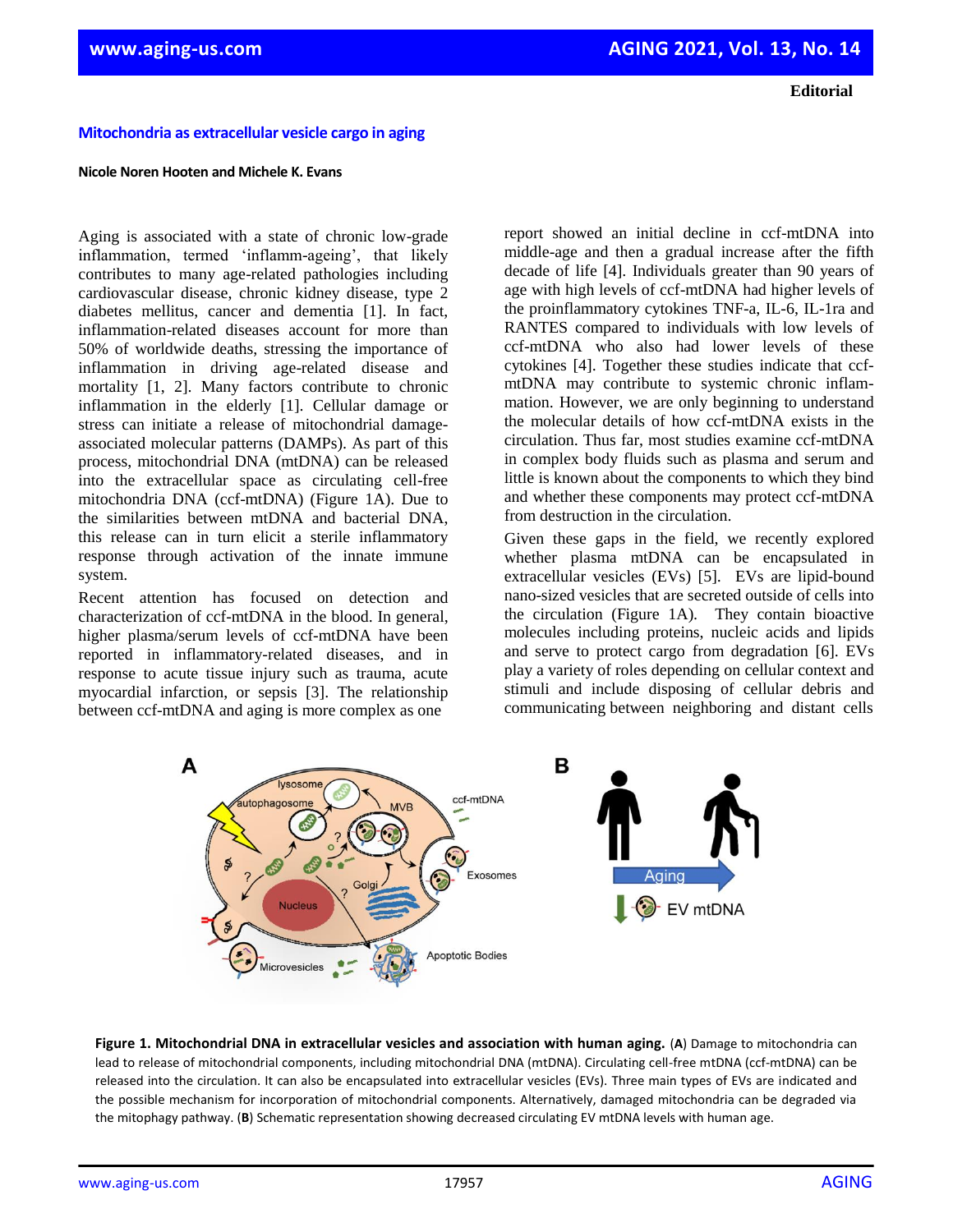**Editorial**

## **Mitochondria as extracellular vesicle cargo in aging**

## **Nicole Noren Hooten and Michele K. Evans**

Aging is associated with a state of chronic low-grade inflammation, termed 'inflamm-ageing', that likely contributes to many age-related pathologies including cardiovascular disease, chronic kidney disease, type 2 diabetes mellitus, cancer and dementia [1]. In fact, inflammation-related diseases account for more than 50% of worldwide deaths, stressing the importance of inflammation in driving age-related disease and mortality [1, 2]. Many factors contribute to chronic inflammation in the elderly [1]. Cellular damage or stress can initiate a release of mitochondrial damageassociated molecular patterns (DAMPs). As part of this process, mitochondrial DNA (mtDNA) can be released into the extracellular space as circulating cell-free mitochondria DNA (ccf-mtDNA) (Figure 1A). Due to the similarities between mtDNA and bacterial DNA, this release can in turn elicit a sterile inflammatory response through activation of the innate immune system.

Recent attention has focused on detection and characterization of ccf-mtDNA in the blood. In general, higher plasma/serum levels of ccf-mtDNA have been reported in inflammatory-related diseases, and in response to acute tissue injury such as trauma, acute myocardial infarction, or sepsis [3]. The relationship between ccf-mtDNA and aging is more complex as one

report showed an initial decline in ccf-mtDNA into middle-age and then a gradual increase after the fifth decade of life [4]. Individuals greater than 90 years of age with high levels of ccf-mtDNA had higher levels of the proinflammatory cytokines TNF-a, IL-6, IL-1ra and RANTES compared to individuals with low levels of ccf-mtDNA who also had lower levels of these cytokines [4]. Together these studies indicate that ccfmtDNA may contribute to systemic chronic inflammation. However, we are only beginning to understand the molecular details of how ccf-mtDNA exists in the circulation. Thus far, most studies examine ccf-mtDNA in complex body fluids such as plasma and serum and little is known about the components to which they bind and whether these components may protect ccf-mtDNA from destruction in the circulation.

Given these gaps in the field, we recently explored whether plasma mtDNA can be encapsulated in extracellular vesicles (EVs) [5]. EVs are lipid-bound nano-sized vesicles that are secreted outside of cells into the circulation (Figure 1A). They contain bioactive molecules including proteins, nucleic acids and lipids and serve to protect cargo from degradation [6]. EVs play a variety of roles depending on cellular context and stimuli and include disposing of cellular debris and communicating between neighboring and distant cells



**Figure 1. Mitochondrial DNA in extracellular vesicles and association with human aging.** (**A**) Damage to mitochondria can lead to release of mitochondrial components, including mitochondrial DNA (mtDNA). Circulating cell-free mtDNA (ccf-mtDNA) can be released into the circulation. It can also be encapsulated into extracellular vesicles (EVs). Three main types of EVs are indicated and the possible mechanism for incorporation of mitochondrial components. Alternatively, damaged mitochondria can be degraded via the mitophagy pathway. (**B**) Schematic representation showing decreased circulating EV mtDNA levels with human age.